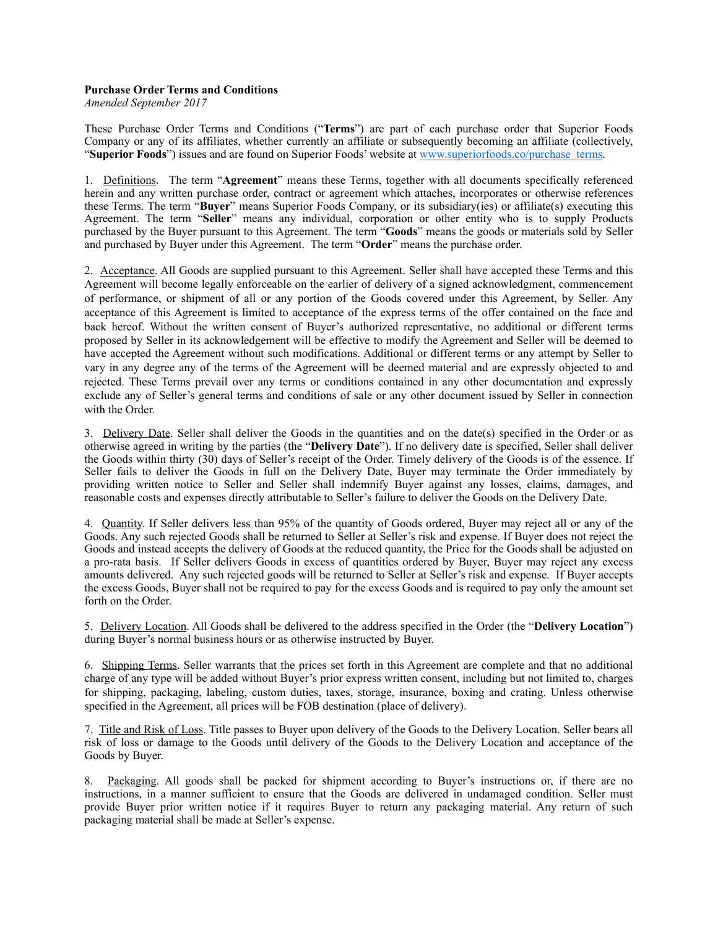## **Purchase Order Terms and Conditions**

*Amended September 2017* 

These Purchase Order Terms and Conditions ("**Terms**") are part of each purchase order that Superior Foods Company or any of its affiliates, whether currently an affiliate or subsequently becoming an affiliate (collectively, "**Superior Foods**") issues and are found on Superior Foods' website at [www.superiorfoods.co/purchase\\_terms.](http://www.superiorfoods.co/purchase_terms)

1. Definitions. The term "**Agreement**" means these Terms, together with all documents specifically referenced herein and any written purchase order, contract or agreement which attaches, incorporates or otherwise references these Terms. The term "**Buyer**" means Superior Foods Company, or its subsidiary(ies) or affiliate(s) executing this Agreement. The term "**Seller**" means any individual, corporation or other entity who is to supply Products purchased by the Buyer pursuant to this Agreement. The term "**Goods**" means the goods or materials sold by Seller and purchased by Buyer under this Agreement. The term "**Order**" means the purchase order.

2. Acceptance. All Goods are supplied pursuant to this Agreement. Seller shall have accepted these Terms and this Agreement will become legally enforceable on the earlier of delivery of a signed acknowledgment, commencement of performance, or shipment of all or any portion of the Goods covered under this Agreement, by Seller. Any acceptance of this Agreement is limited to acceptance of the express terms of the offer contained on the face and back hereof. Without the written consent of Buyer's authorized representative, no additional or different terms proposed by Seller in its acknowledgement will be effective to modify the Agreement and Seller will be deemed to have accepted the Agreement without such modifications. Additional or different terms or any attempt by Seller to vary in any degree any of the terms of the Agreement will be deemed material and are expressly objected to and rejected. These Terms prevail over any terms or conditions contained in any other documentation and expressly exclude any of Seller's general terms and conditions of sale or any other document issued by Seller in connection with the Order.

3. Delivery Date. Seller shall deliver the Goods in the quantities and on the date(s) specified in the Order or as otherwise agreed in writing by the parties (the "**Delivery Date**"). If no delivery date is specified, Seller shall deliver the Goods within thirty (30) days of Seller's receipt of the Order. Timely delivery of the Goods is of the essence. If Seller fails to deliver the Goods in full on the Delivery Date, Buyer may terminate the Order immediately by providing written notice to Seller and Seller shall indemnify Buyer against any losses, claims, damages, and reasonable costs and expenses directly attributable to Seller's failure to deliver the Goods on the Delivery Date.

4. Quantity. If Seller delivers less than 95% of the quantity of Goods ordered, Buyer may reject all or any of the Goods. Any such rejected Goods shall be returned to Seller at Seller's risk and expense. If Buyer does not reject the Goods and instead accepts the delivery of Goods at the reduced quantity, the Price for the Goods shall be adjusted on a pro-rata basis. If Seller delivers Goods in excess of quantities ordered by Buyer, Buyer may reject any excess amounts delivered. Any such rejected goods will be returned to Seller at Seller's risk and expense. If Buyer accepts the excess Goods, Buyer shall not be required to pay for the excess Goods and is required to pay only the amount set forth on the Order.

5. Delivery Location. All Goods shall be delivered to the address specified in the Order (the "**Delivery Location**") during Buyer's normal business hours or as otherwise instructed by Buyer.

6. Shipping Terms. Seller warrants that the prices set forth in this Agreement are complete and that no additional charge of any type will be added without Buyer's prior express written consent, including but not limited to, charges for shipping, packaging, labeling, custom duties, taxes, storage, insurance, boxing and crating. Unless otherwise specified in the Agreement, all prices will be FOB destination (place of delivery).

7. Title and Risk of Loss. Title passes to Buyer upon delivery of the Goods to the Delivery Location. Seller bears all risk of loss or damage to the Goods until delivery of the Goods to the Delivery Location and acceptance of the Goods by Buyer.

8. Packaging. All goods shall be packed for shipment according to Buyer's instructions or, if there are no instructions, in a manner sufficient to ensure that the Goods are delivered in undamaged condition. Seller must provide Buyer prior written notice if it requires Buyer to return any packaging material. Any return of such packaging material shall be made at Seller's expense.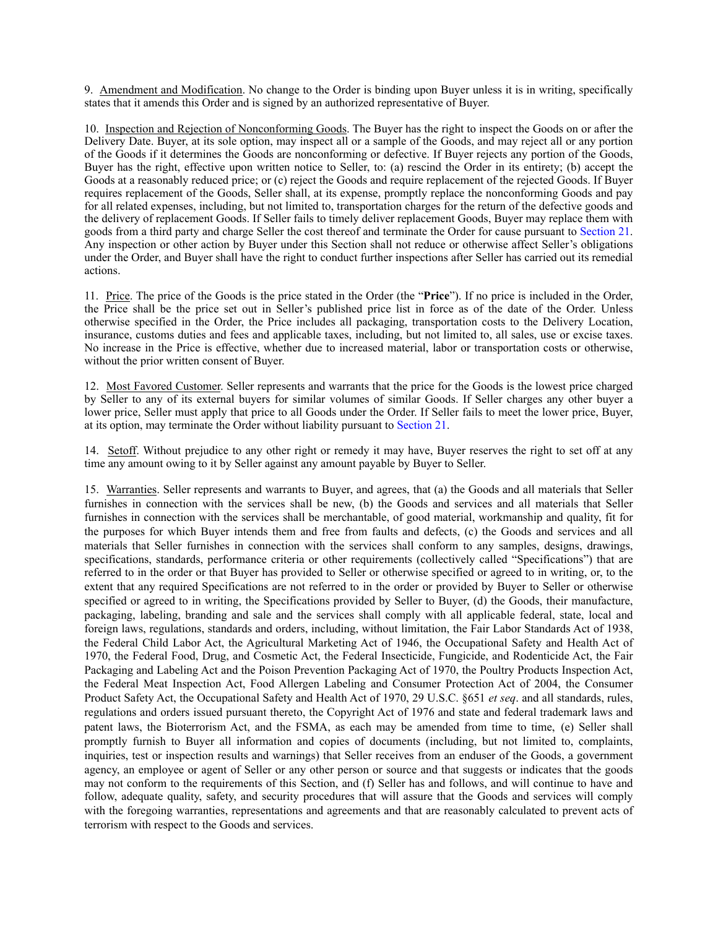9. Amendment and Modification. No change to the Order is binding upon Buyer unless it is in writing, specifically states that it amends this Order and is signed by an authorized representative of Buyer.

10. Inspection and Rejection of Nonconforming Goods. The Buyer has the right to inspect the Goods on or after the Delivery Date. Buyer, at its sole option, may inspect all or a sample of the Goods, and may reject all or any portion of the Goods if it determines the Goods are nonconforming or defective. If Buyer rejects any portion of the Goods, Buyer has the right, effective upon written notice to Seller, to: (a) rescind the Order in its entirety; (b) accept the Goods at a reasonably reduced price; or (c) reject the Goods and require replacement of the rejected Goods. If Buyer requires replacement of the Goods, Seller shall, at its expense, promptly replace the nonconforming Goods and pay for all related expenses, including, but not limited to, transportation charges for the return of the defective goods and the delivery of replacement Goods. If Seller fails to timely deliver replacement Goods, Buyer may replace them with goods from a third party and charge Seller the cost thereof and terminate the Order for cause pursuant to Section 21. Any inspection or other action by Buyer under this Section shall not reduce or otherwise affect Seller's obligations under the Order, and Buyer shall have the right to conduct further inspections after Seller has carried out its remedial actions.

11. Price. The price of the Goods is the price stated in the Order (the "**Price**"). If no price is included in the Order, the Price shall be the price set out in Seller's published price list in force as of the date of the Order. Unless otherwise specified in the Order, the Price includes all packaging, transportation costs to the Delivery Location, insurance, customs duties and fees and applicable taxes, including, but not limited to, all sales, use or excise taxes. No increase in the Price is effective, whether due to increased material, labor or transportation costs or otherwise, without the prior written consent of Buyer.

12. Most Favored Customer. Seller represents and warrants that the price for the Goods is the lowest price charged by Seller to any of its external buyers for similar volumes of similar Goods. If Seller charges any other buyer a lower price, Seller must apply that price to all Goods under the Order. If Seller fails to meet the lower price, Buyer, at its option, may terminate the Order without liability pursuant to Section 21.

14. Setoff. Without prejudice to any other right or remedy it may have, Buyer reserves the right to set off at any time any amount owing to it by Seller against any amount payable by Buyer to Seller.

15. Warranties. Seller represents and warrants to Buyer, and agrees, that (a) the Goods and all materials that Seller furnishes in connection with the services shall be new, (b) the Goods and services and all materials that Seller furnishes in connection with the services shall be merchantable, of good material, workmanship and quality, fit for the purposes for which Buyer intends them and free from faults and defects, (c) the Goods and services and all materials that Seller furnishes in connection with the services shall conform to any samples, designs, drawings, specifications, standards, performance criteria or other requirements (collectively called "Specifications") that are referred to in the order or that Buyer has provided to Seller or otherwise specified or agreed to in writing, or, to the extent that any required Specifications are not referred to in the order or provided by Buyer to Seller or otherwise specified or agreed to in writing, the Specifications provided by Seller to Buyer, (d) the Goods, their manufacture, packaging, labeling, branding and sale and the services shall comply with all applicable federal, state, local and foreign laws, regulations, standards and orders, including, without limitation, the Fair Labor Standards Act of 1938, the Federal Child Labor Act, the Agricultural Marketing Act of 1946, the Occupational Safety and Health Act of 1970, the Federal Food, Drug, and Cosmetic Act, the Federal Insecticide, Fungicide, and Rodenticide Act, the Fair Packaging and Labeling Act and the Poison Prevention Packaging Act of 1970, the Poultry Products Inspection Act, the Federal Meat Inspection Act, Food Allergen Labeling and Consumer Protection Act of 2004, the Consumer Product Safety Act, the Occupational Safety and Health Act of 1970, 29 U.S.C. §651 *et seq*. and all standards, rules, regulations and orders issued pursuant thereto, the Copyright Act of 1976 and state and federal trademark laws and patent laws, the Bioterrorism Act, and the FSMA, as each may be amended from time to time, (e) Seller shall promptly furnish to Buyer all information and copies of documents (including, but not limited to, complaints, inquiries, test or inspection results and warnings) that Seller receives from an enduser of the Goods, a government agency, an employee or agent of Seller or any other person or source and that suggests or indicates that the goods may not conform to the requirements of this Section, and (f) Seller has and follows, and will continue to have and follow, adequate quality, safety, and security procedures that will assure that the Goods and services will comply with the foregoing warranties, representations and agreements and that are reasonably calculated to prevent acts of terrorism with respect to the Goods and services.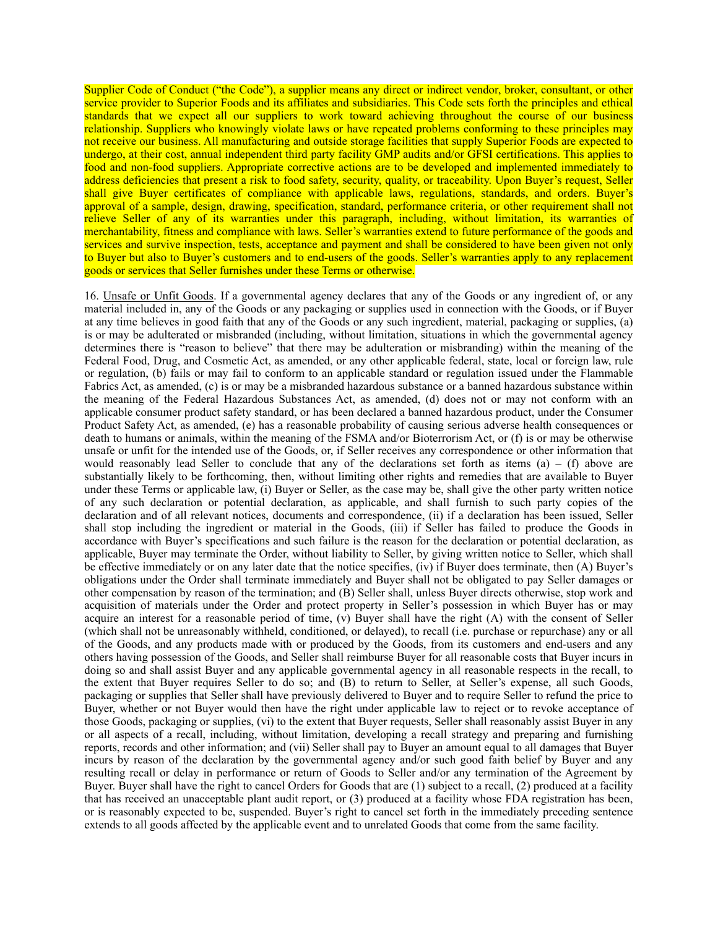Supplier Code of Conduct ("the Code"), a supplier means any direct or indirect vendor, broker, consultant, or other service provider to Superior Foods and its affiliates and subsidiaries. This Code sets forth the principles and ethical standards that we expect all our suppliers to work toward achieving throughout the course of our business relationship. Suppliers who knowingly violate laws or have repeated problems conforming to these principles may not receive our business. All manufacturing and outside storage facilities that supply Superior Foods are expected to undergo, at their cost, annual independent third party facility GMP audits and/or GFSI certifications. This applies to food and non-food suppliers. Appropriate corrective actions are to be developed and implemented immediately to address deficiencies that present a risk to food safety, security, quality, or traceability. Upon Buyer's request, Seller shall give Buyer certificates of compliance with applicable laws, regulations, standards, and orders. Buyer's approval of a sample, design, drawing, specification, standard, performance criteria, or other requirement shall not relieve Seller of any of its warranties under this paragraph, including, without limitation, its warranties of merchantability, fitness and compliance with laws. Seller's warranties extend to future performance of the goods and services and survive inspection, tests, acceptance and payment and shall be considered to have been given not only to Buyer but also to Buyer's customers and to end-users of the goods. Seller's warranties apply to any replacement goods or services that Seller furnishes under these Terms or otherwise.

16. Unsafe or Unfit Goods. If a governmental agency declares that any of the Goods or any ingredient of, or any material included in, any of the Goods or any packaging or supplies used in connection with the Goods, or if Buyer at any time believes in good faith that any of the Goods or any such ingredient, material, packaging or supplies, (a) is or may be adulterated or misbranded (including, without limitation, situations in which the governmental agency determines there is "reason to believe" that there may be adulteration or misbranding) within the meaning of the Federal Food, Drug, and Cosmetic Act, as amended, or any other applicable federal, state, local or foreign law, rule or regulation, (b) fails or may fail to conform to an applicable standard or regulation issued under the Flammable Fabrics Act, as amended, (c) is or may be a misbranded hazardous substance or a banned hazardous substance within the meaning of the Federal Hazardous Substances Act, as amended, (d) does not or may not conform with an applicable consumer product safety standard, or has been declared a banned hazardous product, under the Consumer Product Safety Act, as amended, (e) has a reasonable probability of causing serious adverse health consequences or death to humans or animals, within the meaning of the FSMA and/or Bioterrorism Act, or (f) is or may be otherwise unsafe or unfit for the intended use of the Goods, or, if Seller receives any correspondence or other information that would reasonably lead Seller to conclude that any of the declarations set forth as items  $(a) - (f)$  above are substantially likely to be forthcoming, then, without limiting other rights and remedies that are available to Buyer under these Terms or applicable law, (i) Buyer or Seller, as the case may be, shall give the other party written notice of any such declaration or potential declaration, as applicable, and shall furnish to such party copies of the declaration and of all relevant notices, documents and correspondence, (ii) if a declaration has been issued, Seller shall stop including the ingredient or material in the Goods, (iii) if Seller has failed to produce the Goods in accordance with Buyer's specifications and such failure is the reason for the declaration or potential declaration, as applicable, Buyer may terminate the Order, without liability to Seller, by giving written notice to Seller, which shall be effective immediately or on any later date that the notice specifies, (iv) if Buyer does terminate, then (A) Buyer's obligations under the Order shall terminate immediately and Buyer shall not be obligated to pay Seller damages or other compensation by reason of the termination; and (B) Seller shall, unless Buyer directs otherwise, stop work and acquisition of materials under the Order and protect property in Seller's possession in which Buyer has or may acquire an interest for a reasonable period of time,  $(v)$  Buyer shall have the right (A) with the consent of Seller (which shall not be unreasonably withheld, conditioned, or delayed), to recall (i.e. purchase or repurchase) any or all of the Goods, and any products made with or produced by the Goods, from its customers and end-users and any others having possession of the Goods, and Seller shall reimburse Buyer for all reasonable costs that Buyer incurs in doing so and shall assist Buyer and any applicable governmental agency in all reasonable respects in the recall, to the extent that Buyer requires Seller to do so; and (B) to return to Seller, at Seller's expense, all such Goods, packaging or supplies that Seller shall have previously delivered to Buyer and to require Seller to refund the price to Buyer, whether or not Buyer would then have the right under applicable law to reject or to revoke acceptance of those Goods, packaging or supplies, (vi) to the extent that Buyer requests, Seller shall reasonably assist Buyer in any or all aspects of a recall, including, without limitation, developing a recall strategy and preparing and furnishing reports, records and other information; and (vii) Seller shall pay to Buyer an amount equal to all damages that Buyer incurs by reason of the declaration by the governmental agency and/or such good faith belief by Buyer and any resulting recall or delay in performance or return of Goods to Seller and/or any termination of the Agreement by Buyer. Buyer shall have the right to cancel Orders for Goods that are (1) subject to a recall, (2) produced at a facility that has received an unacceptable plant audit report, or (3) produced at a facility whose FDA registration has been, or is reasonably expected to be, suspended. Buyer's right to cancel set forth in the immediately preceding sentence extends to all goods affected by the applicable event and to unrelated Goods that come from the same facility.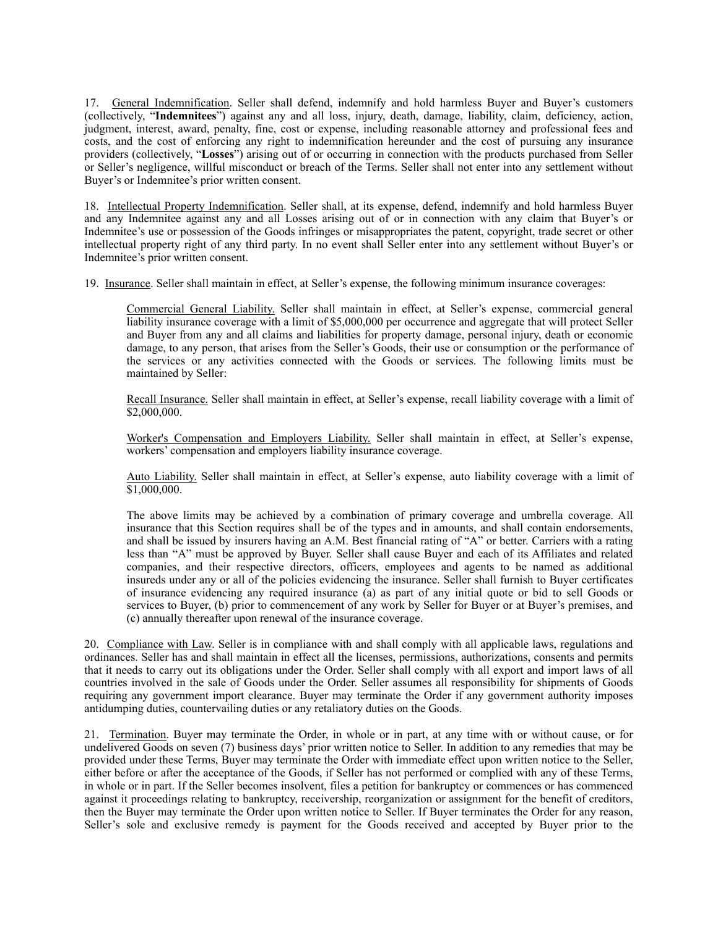17. General Indemnification. Seller shall defend, indemnify and hold harmless Buyer and Buyer's customers (collectively, "**Indemnitees**") against any and all loss, injury, death, damage, liability, claim, deficiency, action, judgment, interest, award, penalty, fine, cost or expense, including reasonable attorney and professional fees and costs, and the cost of enforcing any right to indemnification hereunder and the cost of pursuing any insurance providers (collectively, "**Losses**") arising out of or occurring in connection with the products purchased from Seller or Seller's negligence, willful misconduct or breach of the Terms. Seller shall not enter into any settlement without Buyer's or Indemnitee's prior written consent.

18. Intellectual Property Indemnification. Seller shall, at its expense, defend, indemnify and hold harmless Buyer and any Indemnitee against any and all Losses arising out of or in connection with any claim that Buyer's or Indemnitee's use or possession of the Goods infringes or misappropriates the patent, copyright, trade secret or other intellectual property right of any third party. In no event shall Seller enter into any settlement without Buyer's or Indemnitee's prior written consent.

19. Insurance. Seller shall maintain in effect, at Seller's expense, the following minimum insurance coverages:

Commercial General Liability. Seller shall maintain in effect, at Seller's expense, commercial general liability insurance coverage with a limit of \$5,000,000 per occurrence and aggregate that will protect Seller and Buyer from any and all claims and liabilities for property damage, personal injury, death or economic damage, to any person, that arises from the Seller's Goods, their use or consumption or the performance of the services or any activities connected with the Goods or services. The following limits must be maintained by Seller:

Recall Insurance. Seller shall maintain in effect, at Seller's expense, recall liability coverage with a limit of \$2,000,000.

Worker's Compensation and Employers Liability. Seller shall maintain in effect, at Seller's expense, workers' compensation and employers liability insurance coverage.

Auto Liability. Seller shall maintain in effect, at Seller's expense, auto liability coverage with a limit of \$1,000,000.

The above limits may be achieved by a combination of primary coverage and umbrella coverage. All insurance that this Section requires shall be of the types and in amounts, and shall contain endorsements, and shall be issued by insurers having an A.M. Best financial rating of "A" or better. Carriers with a rating less than "A" must be approved by Buyer. Seller shall cause Buyer and each of its Affiliates and related companies, and their respective directors, officers, employees and agents to be named as additional insureds under any or all of the policies evidencing the insurance. Seller shall furnish to Buyer certificates of insurance evidencing any required insurance  $\overline{a}$  as part of any initial quote or bid to sell Goods or services to Buyer, (b) prior to commencement of any work by Seller for Buyer or at Buyer's premises, and (c) annually thereafter upon renewal of the insurance coverage.

20. Compliance with Law. Seller is in compliance with and shall comply with all applicable laws, regulations and ordinances. Seller has and shall maintain in effect all the licenses, permissions, authorizations, consents and permits that it needs to carry out its obligations under the Order. Seller shall comply with all export and import laws of all countries involved in the sale of Goods under the Order. Seller assumes all responsibility for shipments of Goods requiring any government import clearance. Buyer may terminate the Order if any government authority imposes antidumping duties, countervailing duties or any retaliatory duties on the Goods.

21. Termination. Buyer may terminate the Order, in whole or in part, at any time with or without cause, or for undelivered Goods on seven (7) business days' prior written notice to Seller. In addition to any remedies that may be provided under these Terms, Buyer may terminate the Order with immediate effect upon written notice to the Seller, either before or after the acceptance of the Goods, if Seller has not performed or complied with any of these Terms, in whole or in part. If the Seller becomes insolvent, files a petition for bankruptcy or commences or has commenced against it proceedings relating to bankruptcy, receivership, reorganization or assignment for the benefit of creditors, then the Buyer may terminate the Order upon written notice to Seller. If Buyer terminates the Order for any reason, Seller's sole and exclusive remedy is payment for the Goods received and accepted by Buyer prior to the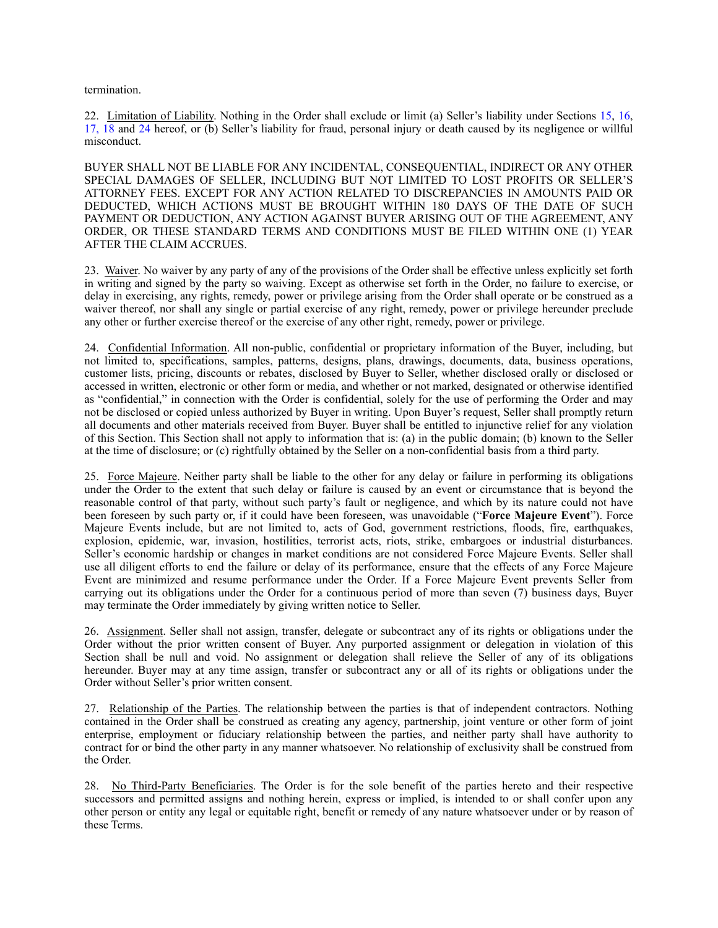termination.

22. Limitation of Liability. Nothing in the Order shall exclude or limit (a) Seller's liability under Sections 15, 16, 17, 18 and 24 hereof, or (b) Seller's liability for fraud, personal injury or death caused by its negligence or willful misconduct.

BUYER SHALL NOT BE LIABLE FOR ANY INCIDENTAL, CONSEQUENTIAL, INDIRECT OR ANY OTHER SPECIAL DAMAGES OF SELLER, INCLUDING BUT NOT LIMITED TO LOST PROFITS OR SELLER'S ATTORNEY FEES. EXCEPT FOR ANY ACTION RELATED TO DISCREPANCIES IN AMOUNTS PAID OR DEDUCTED, WHICH ACTIONS MUST BE BROUGHT WITHIN 180 DAYS OF THE DATE OF SUCH PAYMENT OR DEDUCTION, ANY ACTION AGAINST BUYER ARISING OUT OF THE AGREEMENT, ANY ORDER, OR THESE STANDARD TERMS AND CONDITIONS MUST BE FILED WITHIN ONE (1) YEAR AFTER THE CLAIM ACCRUES.

23. Waiver. No waiver by any party of any of the provisions of the Order shall be effective unless explicitly set forth in writing and signed by the party so waiving. Except as otherwise set forth in the Order, no failure to exercise, or delay in exercising, any rights, remedy, power or privilege arising from the Order shall operate or be construed as a waiver thereof, nor shall any single or partial exercise of any right, remedy, power or privilege hereunder preclude any other or further exercise thereof or the exercise of any other right, remedy, power or privilege.

24. Confidential Information. All non-public, confidential or proprietary information of the Buyer, including, but not limited to, specifications, samples, patterns, designs, plans, drawings, documents, data, business operations, customer lists, pricing, discounts or rebates, disclosed by Buyer to Seller, whether disclosed orally or disclosed or accessed in written, electronic or other form or media, and whether or not marked, designated or otherwise identified as "confidential," in connection with the Order is confidential, solely for the use of performing the Order and may not be disclosed or copied unless authorized by Buyer in writing. Upon Buyer's request, Seller shall promptly return all documents and other materials received from Buyer. Buyer shall be entitled to injunctive relief for any violation of this Section. This Section shall not apply to information that is: (a) in the public domain; (b) known to the Seller at the time of disclosure; or (c) rightfully obtained by the Seller on a non-confidential basis from a third party.

25. Force Majeure. Neither party shall be liable to the other for any delay or failure in performing its obligations under the Order to the extent that such delay or failure is caused by an event or circumstance that is beyond the reasonable control of that party, without such party's fault or negligence, and which by its nature could not have been foreseen by such party or, if it could have been foreseen, was unavoidable ("**Force Majeure Event**"). Force Majeure Events include, but are not limited to, acts of God, government restrictions, floods, fire, earthquakes, explosion, epidemic, war, invasion, hostilities, terrorist acts, riots, strike, embargoes or industrial disturbances. Seller's economic hardship or changes in market conditions are not considered Force Majeure Events. Seller shall use all diligent efforts to end the failure or delay of its performance, ensure that the effects of any Force Majeure Event are minimized and resume performance under the Order. If a Force Majeure Event prevents Seller from carrying out its obligations under the Order for a continuous period of more than seven (7) business days, Buyer may terminate the Order immediately by giving written notice to Seller.

26. Assignment. Seller shall not assign, transfer, delegate or subcontract any of its rights or obligations under the Order without the prior written consent of Buyer. Any purported assignment or delegation in violation of this Section shall be null and void. No assignment or delegation shall relieve the Seller of any of its obligations hereunder. Buyer may at any time assign, transfer or subcontract any or all of its rights or obligations under the Order without Seller's prior written consent.

27. Relationship of the Parties. The relationship between the parties is that of independent contractors. Nothing contained in the Order shall be construed as creating any agency, partnership, joint venture or other form of joint enterprise, employment or fiduciary relationship between the parties, and neither party shall have authority to contract for or bind the other party in any manner whatsoever. No relationship of exclusivity shall be construed from the Order.

28. No Third-Party Beneficiaries. The Order is for the sole benefit of the parties hereto and their respective successors and permitted assigns and nothing herein, express or implied, is intended to or shall confer upon any other person or entity any legal or equitable right, benefit or remedy of any nature whatsoever under or by reason of these Terms.